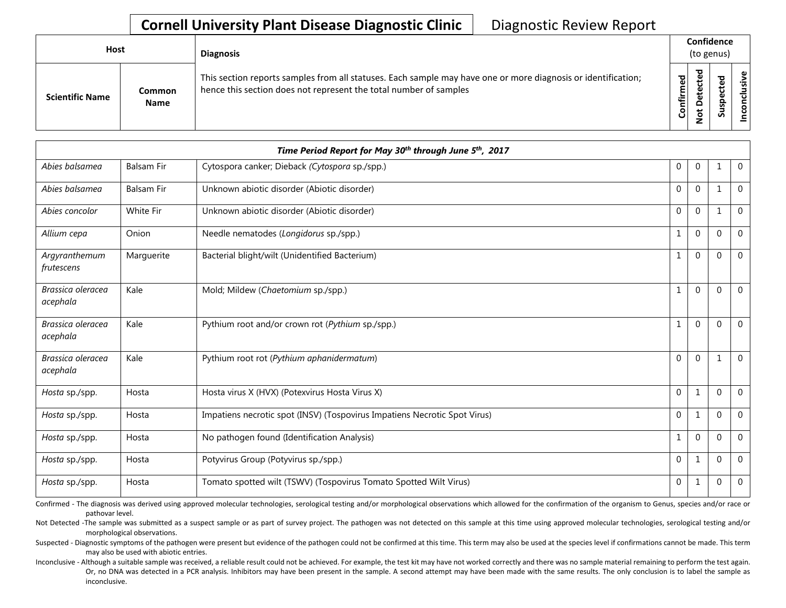| <b>Host</b>            |                       | <b>Diagnosis</b>                                                                                                                                                                   |           | Confidence<br>(to genus) |                                 |       |  |  |  |  |
|------------------------|-----------------------|------------------------------------------------------------------------------------------------------------------------------------------------------------------------------------|-----------|--------------------------|---------------------------------|-------|--|--|--|--|
| <b>Scientific Name</b> | Common<br><b>Name</b> | This section reports samples from all statuses. Each sample may have one or more diagnosis or identification;<br>hence this section does not represent the total number of samples | Confirmed | ᇃ<br>ு<br>$\Omega$       | ᇃ<br>உ<br>o<br>௨<br>s<br>っ<br>n | usive |  |  |  |  |

|                               |                   | Time Period Report for May 30 <sup>th</sup> through June 5 <sup>th</sup> , 2017 |              |              |              |                |
|-------------------------------|-------------------|---------------------------------------------------------------------------------|--------------|--------------|--------------|----------------|
| Abies balsamea                | <b>Balsam Fir</b> | Cytospora canker; Dieback (Cytospora sp./spp.)                                  | $\mathbf 0$  | $\mathbf 0$  | 1            | $\mathbf 0$    |
| Abies balsamea                | <b>Balsam Fir</b> | Unknown abiotic disorder (Abiotic disorder)                                     | $\mathbf 0$  | $\mathbf 0$  | $\mathbf{1}$ | $\mathbf 0$    |
| Abies concolor                | <b>White Fir</b>  | Unknown abiotic disorder (Abiotic disorder)                                     | $\Omega$     | $\Omega$     | $\mathbf{1}$ | $\Omega$       |
| Allium cepa                   | Onion             | Needle nematodes (Longidorus sp./spp.)                                          | $\mathbf{1}$ | $\Omega$     | $\mathbf{0}$ | $\overline{0}$ |
| Argyranthemum<br>frutescens   | Marguerite        | Bacterial blight/wilt (Unidentified Bacterium)                                  | $\mathbf{1}$ | $\Omega$     | $\Omega$     | $\overline{0}$ |
| Brassica oleracea<br>acephala | Kale              | Mold; Mildew (Chaetomium sp./spp.)                                              | $\mathbf{1}$ | $\mathbf 0$  | $\Omega$     | $\mathbf 0$    |
| Brassica oleracea<br>acephala | Kale              | Pythium root and/or crown rot (Pythium sp./spp.)                                | $\mathbf{1}$ | $\Omega$     | $\Omega$     | $\mathbf 0$    |
| Brassica oleracea<br>acephala | Kale              | Pythium root rot (Pythium aphanidermatum)                                       | $\Omega$     | $\mathbf{0}$ | 1            | $\overline{0}$ |
| Hosta sp./spp.                | Hosta             | Hosta virus X (HVX) (Potexvirus Hosta Virus X)                                  | $\mathbf 0$  | $1\,$        | $\Omega$     | $\Omega$       |
| Hosta sp./spp.                | Hosta             | Impatiens necrotic spot (INSV) (Tospovirus Impatiens Necrotic Spot Virus)       | $\mathbf 0$  | $\mathbf{1}$ | $\mathbf{0}$ | $\mathbf 0$    |
| Hosta sp./spp.                | Hosta             | No pathogen found (Identification Analysis)                                     | $\mathbf{1}$ | $\Omega$     | $\Omega$     | $\Omega$       |
| Hosta sp./spp.                | Hosta             | Potyvirus Group (Potyvirus sp./spp.)                                            | $\mathbf 0$  | $1\,$        | $\mathbf{0}$ | $\mathbf 0$    |
| Hosta sp./spp.                | Hosta             | Tomato spotted wilt (TSWV) (Tospovirus Tomato Spotted Wilt Virus)               | $\mathbf 0$  | $\mathbf{1}$ | $\Omega$     | $\overline{0}$ |

Confirmed - The diagnosis was derived using approved molecular technologies, serological testing and/or morphological observations which allowed for the confirmation of the organism to Genus, species and/or race or pathovar level.

Not Detected -The sample was submitted as a suspect sample or as part of survey project. The pathogen was not detected on this sample at this time using approved molecular technologies, serological testing and/or morphological observations.

Suspected - Diagnostic symptoms of the pathogen were present but evidence of the pathogen could not be confirmed at this time. This term may also be used at the species level if confirmations cannot be made. This term may also be used with abiotic entries.

Inconclusive - Although a suitable sample was received, a reliable result could not be achieved. For example, the test kit may have not worked correctly and there was no sample material remaining to perform the test again. Or, no DNA was detected in a PCR analysis. Inhibitors may have been present in the sample. A second attempt may have been made with the same results. The only conclusion is to label the sample as inconclusive.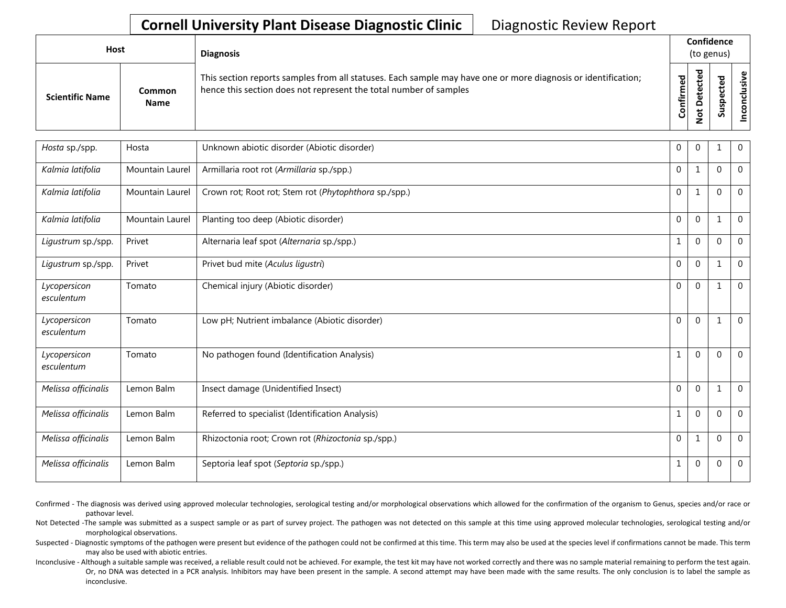| Host                   |                              | <b>Diagnosis</b>                                                                                                                                                                   |                               | Confidence<br>(to genus) |                       |              |
|------------------------|------------------------------|------------------------------------------------------------------------------------------------------------------------------------------------------------------------------------|-------------------------------|--------------------------|-----------------------|--------------|
| <b>Scientific Name</b> | <b>Common</b><br><b>Name</b> | This section reports samples from all statuses. Each sample may have one or more diagnosis or identification;<br>hence this section does not represent the total number of samples | ਠ<br>ω<br><b>onfirm</b><br>٥۱ | ъ<br>$\Omega$<br>⇁       | ω<br>o<br>௨<br>s<br>n | υ١<br>g<br>۰ |

| Hosta sp./spp.             | Hosta           | Unknown abiotic disorder (Abiotic disorder)           | $\Omega$       | $\Omega$     |          | $\mathbf 0$    |
|----------------------------|-----------------|-------------------------------------------------------|----------------|--------------|----------|----------------|
| Kalmia latifolia           | Mountain Laurel | Armillaria root rot (Armillaria sp./spp.)             | $\Omega$       | $\mathbf{1}$ | $\Omega$ | $\Omega$       |
| Kalmia latifolia           | Mountain Laurel | Crown rot; Root rot; Stem rot (Phytophthora sp./spp.) | $\theta$       | $\mathbf{1}$ | $\Omega$ | $\overline{0}$ |
| Kalmia latifolia           | Mountain Laurel | Planting too deep (Abiotic disorder)                  | $\theta$       | $\mathbf 0$  | 1        | $\overline{0}$ |
| Ligustrum sp./spp.         | Privet          | Alternaria leaf spot (Alternaria sp./spp.)            | $\mathbf{1}$   | $\Omega$     | $\Omega$ | $\overline{0}$ |
| Ligustrum sp./spp.         | Privet          | Privet bud mite (Aculus ligustri)                     | $\Omega$       | $\Omega$     |          | $\Omega$       |
| Lycopersicon<br>esculentum | Tomato          | Chemical injury (Abiotic disorder)                    | $\overline{0}$ | $\Omega$     | 1        | $\Omega$       |
| Lycopersicon<br>esculentum | Tomato          | Low pH; Nutrient imbalance (Abiotic disorder)         | $\mathbf 0$    | $\mathbf{0}$ | 1        | $\mathbf 0$    |
| Lycopersicon<br>esculentum | Tomato          | No pathogen found (Identification Analysis)           | $\mathbf{1}$   | $\mathbf{0}$ | $\Omega$ | $\mathbf 0$    |
| Melissa officinalis        | Lemon Balm      | Insect damage (Unidentified Insect)                   | $\theta$       | $\Omega$     |          | $\Omega$       |
| Melissa officinalis        | Lemon Balm      | Referred to specialist (Identification Analysis)      | $\mathbf{1}$   | $\Omega$     | $\Omega$ | $\overline{0}$ |
| Melissa officinalis        | Lemon Balm      | Rhizoctonia root; Crown rot (Rhizoctonia sp./spp.)    | $\Omega$       | 1            | $\Omega$ | $\mathbf 0$    |
| Melissa officinalis        | Lemon Balm      | Septoria leaf spot (Septoria sp./spp.)                | $\mathbf 1$    | $\mathbf{0}$ | $\Omega$ | $\Omega$       |

Confirmed - The diagnosis was derived using approved molecular technologies, serological testing and/or morphological observations which allowed for the confirmation of the organism to Genus, species and/or race or pathovar level.

Not Detected -The sample was submitted as a suspect sample or as part of survey project. The pathogen was not detected on this sample at this time using approved molecular technologies, serological testing and/or morphological observations.

Suspected - Diagnostic symptoms of the pathogen were present but evidence of the pathogen could not be confirmed at this time. This term may also be used at the species level if confirmations cannot be made. This term may also be used with abiotic entries.

Inconclusive - Although a suitable sample was received, a reliable result could not be achieved. For example, the test kit may have not worked correctly and there was no sample material remaining to perform the test again. Or, no DNA was detected in a PCR analysis. Inhibitors may have been present in the sample. A second attempt may have been made with the same results. The only conclusion is to label the sample as inconclusive.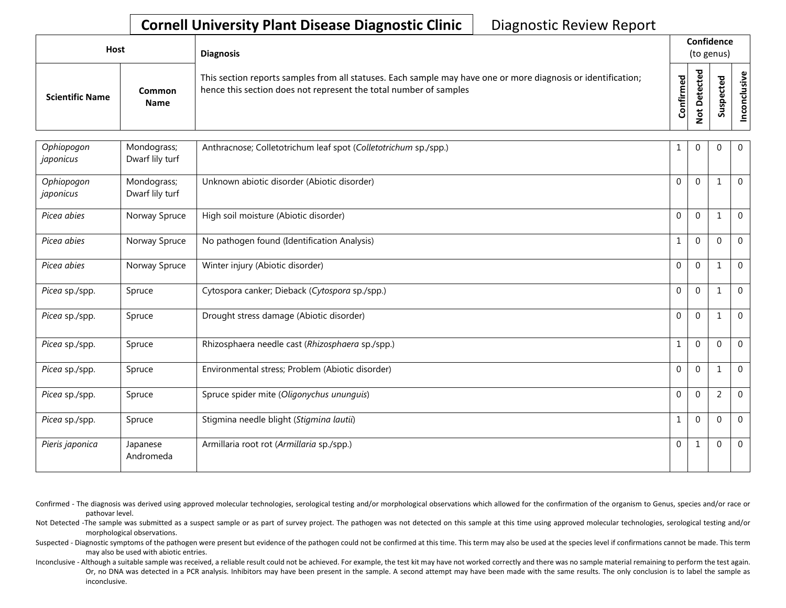| Host                   |                              | <b>Diagnosis</b>                                                                                                                                                                   |               | Confidence<br>(to genus) |                                 |                  |  |  |  |  |
|------------------------|------------------------------|------------------------------------------------------------------------------------------------------------------------------------------------------------------------------------|---------------|--------------------------|---------------------------------|------------------|--|--|--|--|
| <b>Scientific Name</b> | <b>Common</b><br><b>Name</b> | This section reports samples from all statuses. Each sample may have one or more diagnosis or identification;<br>hence this section does not represent the total number of samples | ဥ<br>Confirme | ಕ<br>$\Omega$<br>ى       | ъ<br>ω<br>د<br>ω<br>௨<br>s<br>ä | usive<br>᠊ᠣ<br>۰ |  |  |  |  |

| Ophiopogon<br>japonicus | Mondograss;<br>Dwarf lily turf | Anthracnose; Colletotrichum leaf spot (Colletotrichum sp./spp.) |              | $\mathbf 0$  | 0              | 0              |
|-------------------------|--------------------------------|-----------------------------------------------------------------|--------------|--------------|----------------|----------------|
| Ophiopogon<br>japonicus | Mondograss;<br>Dwarf lily turf | Unknown abiotic disorder (Abiotic disorder)                     | $\mathbf 0$  | $\mathbf 0$  | 1              | $\mathbf 0$    |
| Picea abies             | Norway Spruce                  | High soil moisture (Abiotic disorder)                           | $\mathbf{0}$ | $\mathbf{0}$ | 1              | 0              |
| Picea abies             | Norway Spruce                  | No pathogen found (Identification Analysis)                     |              | $\mathbf{0}$ | $\Omega$       | $\mathbf 0$    |
| Picea abies             | Norway Spruce                  | Winter injury (Abiotic disorder)                                | $\mathbf{0}$ | $\mathbf{0}$ | 1              | $\mathbf 0$    |
| Picea sp./spp.          | Spruce                         | Cytospora canker; Dieback (Cytospora sp./spp.)                  | $\mathbf{0}$ | $\mathbf{0}$ | 1              | $\mathbf 0$    |
| Picea sp./spp.          | Spruce                         | Drought stress damage (Abiotic disorder)                        | $\mathbf{0}$ | $\mathbf 0$  | 1              | $\overline{0}$ |
| Picea sp./spp.          | Spruce                         | Rhizosphaera needle cast (Rhizosphaera sp./spp.)                |              | $\mathbf{0}$ | $\Omega$       | $\mathbf 0$    |
| Picea sp./spp.          | Spruce                         | Environmental stress; Problem (Abiotic disorder)                | $\mathbf 0$  | $\mathbf{0}$ | 1              | $\mathbf 0$    |
| Picea sp./spp.          | Spruce                         | Spruce spider mite (Oligonychus ununguis)                       | $\mathbf{0}$ | $\mathbf{0}$ | $\overline{2}$ | $\mathbf 0$    |
| Picea sp./spp.          | Spruce                         | Stigmina needle blight (Stigmina lautii)                        |              | $\mathbf 0$  | $\mathbf 0$    | $\mathbf 0$    |
| Pieris japonica         | Japanese<br>Andromeda          | Armillaria root rot (Armillaria sp./spp.)                       | 0            | 1            | $\mathbf 0$    | 0              |

- Confirmed The diagnosis was derived using approved molecular technologies, serological testing and/or morphological observations which allowed for the confirmation of the organism to Genus, species and/or race or pathovar level.
- Not Detected -The sample was submitted as a suspect sample or as part of survey project. The pathogen was not detected on this sample at this time using approved molecular technologies, serological testing and/or morphological observations.
- Suspected Diagnostic symptoms of the pathogen were present but evidence of the pathogen could not be confirmed at this time. This term may also be used at the species level if confirmations cannot be made. This term may also be used with abiotic entries.
- Inconclusive Although a suitable sample was received, a reliable result could not be achieved. For example, the test kit may have not worked correctly and there was no sample material remaining to perform the test again. Or, no DNA was detected in a PCR analysis. Inhibitors may have been present in the sample. A second attempt may have been made with the same results. The only conclusion is to label the sample as inconclusive.